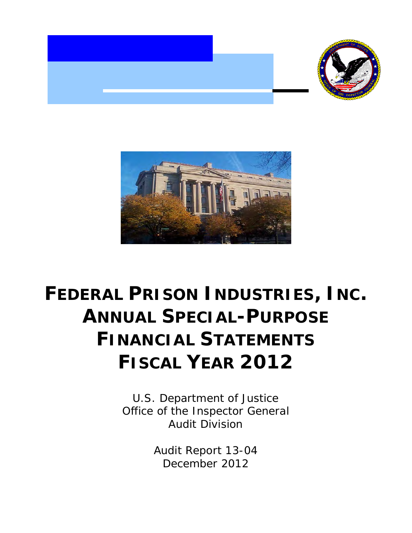



## **FEDERAL PRISON INDUSTRIES, INC. ANNUAL SPECIAL-PURPOSE FINANCIAL STATEMENTS FISCAL YEAR 2012**

 Office of the Inspector General U.S. Department of Justice Audit Division

> Audit Report 13-04 December 2012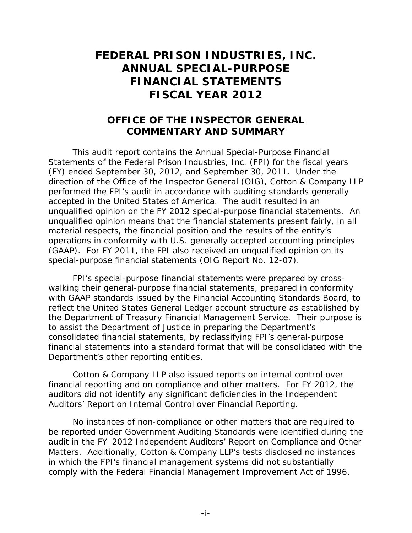## **FEDERAL PRISON INDUSTRIES, INC. FISCAL YEAR 2012 ANNUAL SPECIAL-PURPOSE FINANCIAL STATEMENTS**

## **OFFICE OF THE INSPECTOR GENERAL COMMENTARY AND SUMMARY**

 performed the FPI's audit in accordance with auditing standards generally unqualified opinion on the FY 2012 special-purpose financial statements. An operations in conformity with U.S. generally accepted accounting principles (GAAP). For FY 2011, the FPI also received an unqualified opinion on its special-purpose financial statements (OIG Report No. 12-07). This audit report contains the Annual Special-Purpose Financial Statements of the Federal Prison Industries, Inc. (FPI) for the fiscal years (FY) ended September 30, 2012, and September 30, 2011. Under the direction of the Office of the Inspector General (OIG), Cotton & Company LLP accepted in the United States of America. The audit resulted in an unqualified opinion means that the financial statements present fairly, in all material respects, the financial position and the results of the entity's

FPI's special-purpose financial statements were prepared by crosswalking their general-purpose financial statements, prepared in conformity with GAAP standards issued by the Financial Accounting Standards Board, to reflect the United States General Ledger account structure as established by the Department of Treasury Financial Management Service. Their purpose is to assist the Department of Justice in preparing the Department's consolidated financial statements, by reclassifying FPI's general-purpose financial statements into a standard format that will be consolidated with the Department's other reporting entities.

 Cotton & Company LLP also issued reports on internal control over auditors did not identify any significant deficiencies in the *Independent*  financial reporting and on compliance and other matters. For FY 2012, the *Auditors' Report on Internal Control over Financial Reporting*.

No instances of non-compliance or other matters that are required to be reported under *Government Auditing Standards* were identified during the audit in the FY 2012 *Independent Auditors' Report on Compliance and Other Matters*. Additionally, Cotton & Company LLP's tests disclosed no instances in which the FPI's financial management systems did not substantially comply with the *Federal Financial Management Improvement Act of 1996.*